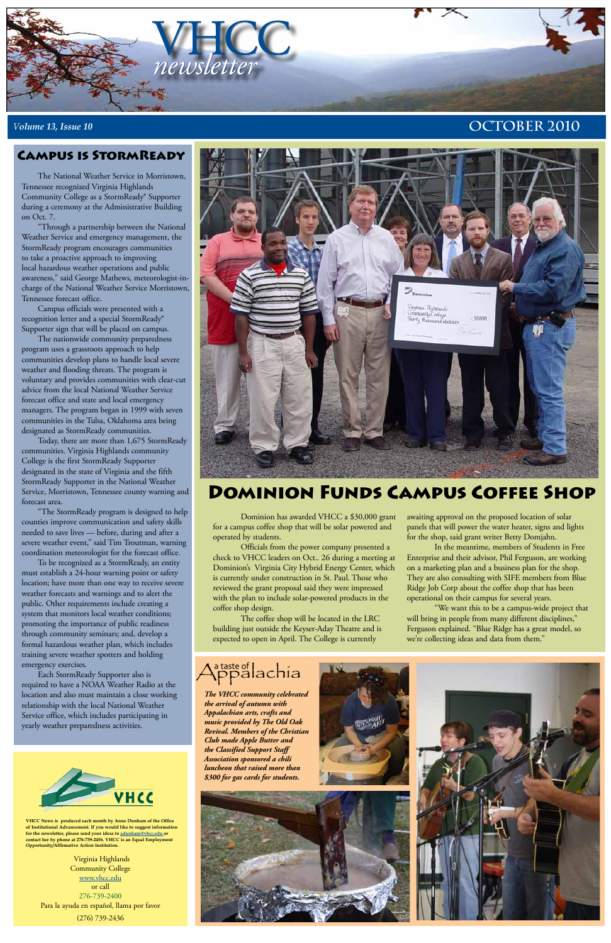

## *<sup>V</sup>olume 13, Issue 10* **October 2010**

**VHCC News is produced each month by Anne Dunham of the Office of Institutional Advancement. If you would like to suggest information for the newsletter, please send your ideas to [adunham@vhcc.edu or](mailto:adunham@vhcc.edu) contact her by phone at 276-739-2456. VHCC is an Equal Employment Opportunity/Affirmative Action Institution.**

Virginia Highlands Community College [www.vhcc.edu](http://www.vhcc.edu) or call 276-739-2400 Para la ayuda en español, llama por favor (276) 739-2436

# Dominion Funds Campus Coffee Shop

The National Weather Service in Morristown, Tennessee recognized Virginia Highlands Community College as a StormReady® Supporter during a ceremony at the Administrative Building on Oct. 7.

"Through a partnership between the National Weather Service and emergency management, the StormReady program encourages communities to take a proactive approach to improving local hazardous weather operations and public awareness," said George Mathews, meteorologist-incharge of the National Weather Service Morristown, Tennessee forecast office.

Campus officials were presented with a recognition letter and a special StormReady® Supporter sign that will be placed on campus.

The nationwide community preparedness program uses a grassroots approach to help communities develop plans to handle local severe weather and flooding threats. The program is voluntary and provides communities with clear-cut advice from the local National Weather Service forecast office and state and local emergency managers. The program began in 1999 with seven communities in the Tulsa, Oklahoma area being designated as StormReady communities.

Today, there are more than 1,675 StormReady communities. Virginia Highlands community College is the first StormReady Supporter designated in the state of Virginia and the fifth StormReady Supporter in the National Weather Service, Morristown, Tennessee county warning and forecast area.

"The StormReady program is designed to help counties improve communication and safety skills needed to save lives — before, during and after a severe weather event," said Tim Troutman, warning coordination meteorologist for the forecast office.

To be recognized as a StormReady, an entity must establish a 24-hour warning point or safety location; have more than one way to receive severe weather forecasts and warnings and to alert the public. Other requirements include creating a system that monitors local weather conditions; promoting the importance of public readiness through community seminars; and, develop a formal hazardous weather plan, which includes training severe weather spotters and holding emergency exercises.

Each StormReady Supporter also is required to have a NOAA Weather Radio at the location and also must maintain a close working relationship with the local National Weather Service office, which includes participating in yearly weather preparedness activities.



## Campus is StormReady

Dominion has awarded VHCC a \$30,000 grant for a campus coffee shop that will be solar powered and operated by students.

Officials from the power company presented a check to VHCC leaders on Oct.. 26 during a meeting at Dominion's Virginia City Hybrid Energy Center, which is currently under construction in St. Paul. Those who reviewed the grant proposal said they were impressed with the plan to include solar-powered products in the coffee shop design.

The coffee shop will be located in the LRC building just outside the Keyser-Aday Theatre and is expected to open in April. The College is currently

awaiting approval on the proposed location of solar panels that will power the water heater, signs and lights for the shop, said grant writer Betty Domjahn.

In the meantime, members of Students in Free Enterprise and their advisor, Phil Ferguson, are working on a marketing plan and a business plan for the shop. They are also consulting with SIFE members from Blue Ridge Job Corp about the coffee shop that has been operational on their campus for several years.

"We want this to be a campus-wide project that will bring in people from many different disciplines," Ferguson explained. "Blue Ridge has a great model, so we're collecting ideas and data from them."





*The VHCC community celebrated the arrival of autumn with Appalachian arts, crafts and music provided by The Old Oak Revival. Members of the Christian Club made Apple Butter and the Classified Support Staff Association sponsored a chili luncheon that raised more than \$300 for gas cards for students.*